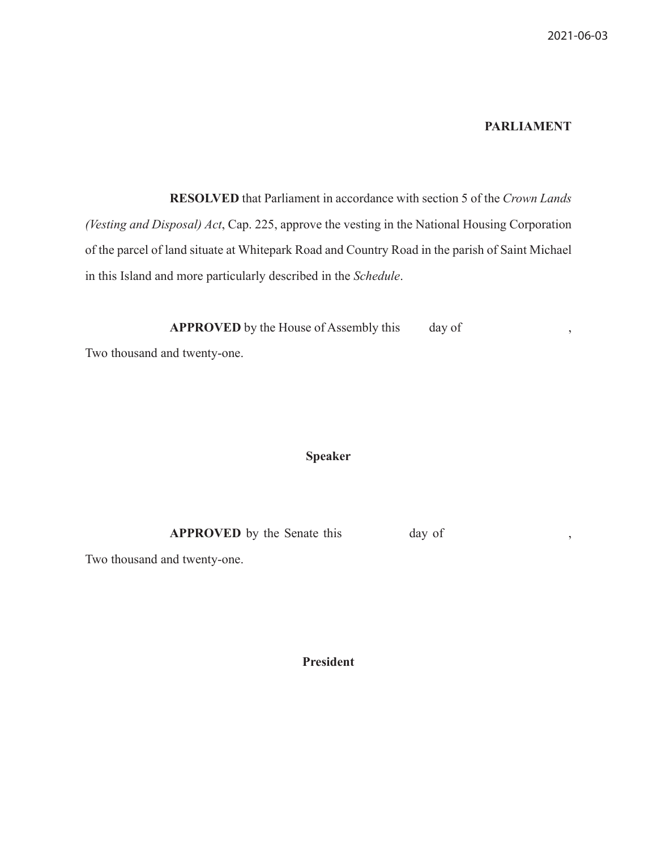## **PARLIAMENT**

 **RESOLVED** that Parliament in accordance with section 5 of the *Crown Lands (Vesting and Disposal) Act*, Cap. 225, approve the vesting in the National Housing Corporation of the parcel of land situate at Whitepark Road and Country Road in the parish of Saint Michael in this Island and more particularly described in the *Schedule*.

**APPROVED** by the House of Assembly this day of ,

Two thousand and twenty-one.

## **Speaker**

**APPROVED** by the Senate this day of ,

Two thousand and twenty-one.

**President**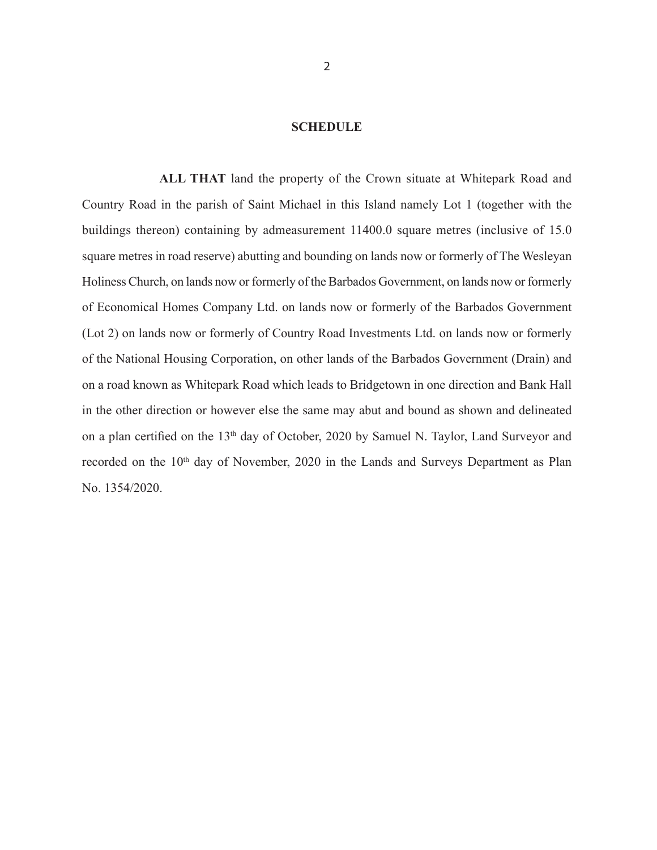## **SCHEDULE**

 **ALL THAT** land the property of the Crown situate at Whitepark Road and Country Road in the parish of Saint Michael in this Island namely Lot 1 (together with the buildings thereon) containing by admeasurement 11400.0 square metres (inclusive of 15.0 square metres in road reserve) abutting and bounding on lands now or formerly of The Wesleyan Holiness Church, on lands now or formerly of the Barbados Government, on lands now or formerly of Economical Homes Company Ltd. on lands now or formerly of the Barbados Government (Lot 2) on lands now or formerly of Country Road Investments Ltd. on lands now or formerly of the National Housing Corporation, on other lands of the Barbados Government (Drain) and on a road known as Whitepark Road which leads to Bridgetown in one direction and Bank Hall in the other direction or however else the same may abut and bound as shown and delineated on a plan certified on the 13<sup>th</sup> day of October, 2020 by Samuel N. Taylor, Land Surveyor and recorded on the 10<sup>th</sup> day of November, 2020 in the Lands and Surveys Department as Plan No. 1354/2020.